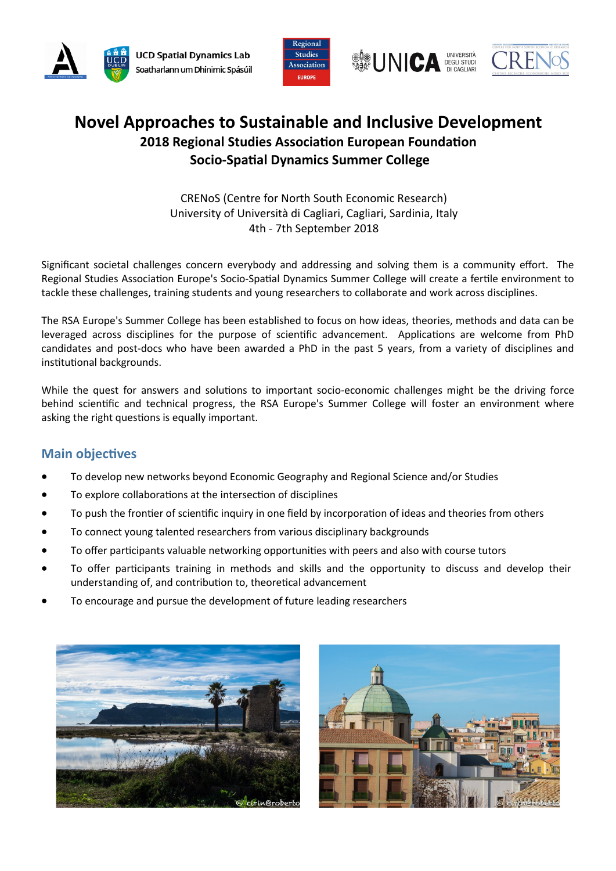





# **Novel Approaches to Sustainable and Inclusive Development 2018 Regional Studies Association European Foundation Socio-Spatial Dynamics Summer College**

CRENoS (Centre for North South Economic Research) University of Università di Cagliari, Cagliari, Sardinia, Italy 4th - 7th September 2018

Significant societal challenges concern everybody and addressing and solving them is a community effort. The Regional Studies Association Europe's Socio-Spatial Dynamics Summer College will create a fertile environment to tackle these challenges, training students and young researchers to collaborate and work across disciplines.

The RSA Europe's Summer College has been established to focus on how ideas, theories, methods and data can be leveraged across disciplines for the purpose of scientific advancement. Applications are welcome from PhD candidates and post-docs who have been awarded a PhD in the past 5 years, from a variety of disciplines and institutional backgrounds.

While the quest for answers and solutions to important socio-economic challenges might be the driving force behind scientific and technical progress, the RSA Europe's Summer College will foster an environment where asking the right questions is equally important.

## **Main objectives**

- To develop new networks beyond Economic Geography and Regional Science and/or Studies
- To explore collaborations at the intersection of disciplines
- To push the frontier of scientific inquiry in one field by incorporation of ideas and theories from others
- To connect young talented researchers from various disciplinary backgrounds
- To offer participants valuable networking opportunities with peers and also with course tutors
- To offer participants training in methods and skills and the opportunity to discuss and develop their understanding of, and contribution to, theoretical advancement
- To encourage and pursue the development of future leading researchers